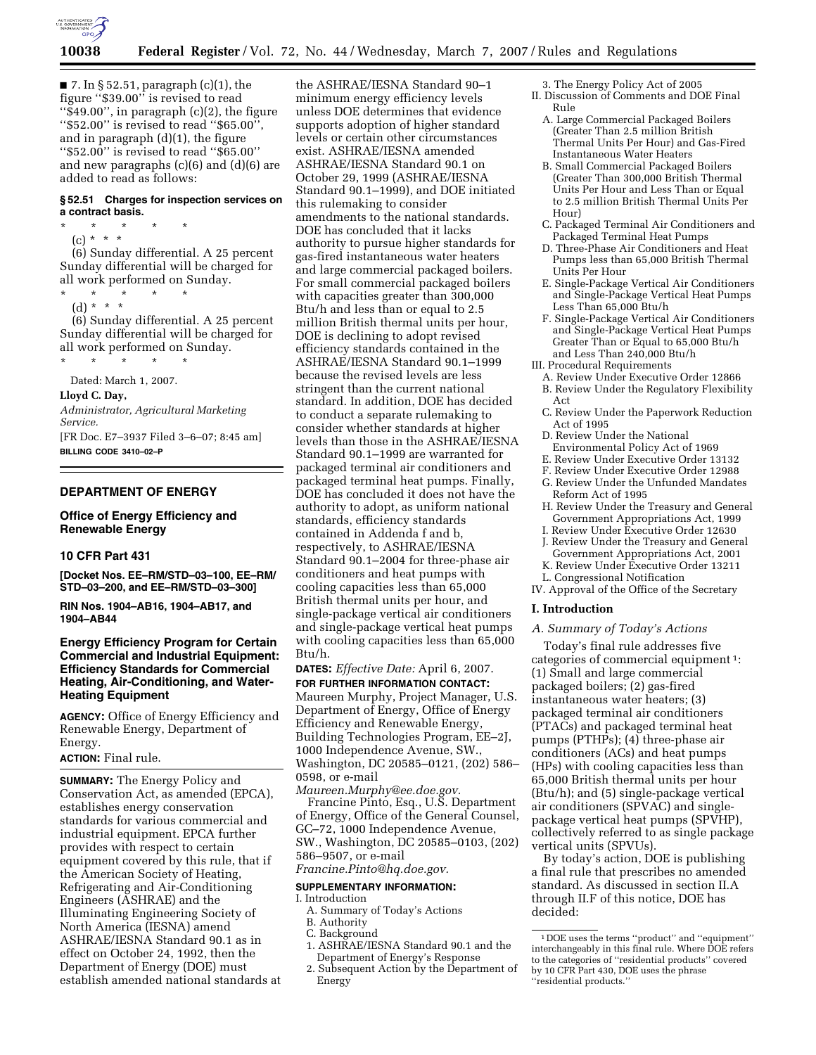

 $\blacksquare$  7. In § 52.51, paragraph (c)(1), the figure ''\$39.00'' is revised to read ''\$49.00'', in paragraph (c)(2), the figure ''\$52.00'' is revised to read ''\$65.00'', and in paragraph (d)(1), the figure ''\$52.00'' is revised to read ''\$65.00'' and new paragraphs (c)(6) and (d)(6) are added to read as follows:

#### **§ 52.51 Charges for inspection services on a contract basis.**

\* \* \* \* \* (c) \* \* \*

(6) Sunday differential. A 25 percent Sunday differential will be charged for all work performed on Sunday.

- \* \* \* \* \*
	- (d) \* \* \*

(6) Sunday differential. A 25 percent Sunday differential will be charged for all work performed on Sunday.

\* \* \* \* \* Dated: March 1, 2007.

**Lloyd C. Day,** 

*Administrator, Agricultural Marketing Service.* 

[FR Doc. E7–3937 Filed 3–6–07; 8:45 am] **BILLING CODE 3410–02–P** 

# **DEPARTMENT OF ENERGY**

### **Office of Energy Efficiency and Renewable Energy**

# **10 CFR Part 431**

**[Docket Nos. EE–RM/STD–03–100, EE–RM/ STD–03–200, and EE–RM/STD–03–300]** 

**RIN Nos. 1904–AB16, 1904–AB17, and 1904–AB44** 

### **Energy Efficiency Program for Certain Commercial and Industrial Equipment: Efficiency Standards for Commercial Heating, Air-Conditioning, and Water-Heating Equipment**

**AGENCY:** Office of Energy Efficiency and Renewable Energy, Department of Energy.

#### **ACTION:** Final rule.

**SUMMARY:** The Energy Policy and Conservation Act, as amended (EPCA), establishes energy conservation standards for various commercial and industrial equipment. EPCA further provides with respect to certain equipment covered by this rule, that if the American Society of Heating, Refrigerating and Air-Conditioning Engineers (ASHRAE) and the Illuminating Engineering Society of North America (IESNA) amend ASHRAE/IESNA Standard 90.1 as in effect on October 24, 1992, then the Department of Energy (DOE) must establish amended national standards at

the ASHRAE/IESNA Standard 90–1 minimum energy efficiency levels unless DOE determines that evidence supports adoption of higher standard levels or certain other circumstances exist. ASHRAE/IESNA amended ASHRAE/IESNA Standard 90.1 on October 29, 1999 (ASHRAE/IESNA Standard 90.1–1999), and DOE initiated this rulemaking to consider amendments to the national standards. DOE has concluded that it lacks authority to pursue higher standards for gas-fired instantaneous water heaters and large commercial packaged boilers. For small commercial packaged boilers with capacities greater than 300,000 Btu/h and less than or equal to 2.5 million British thermal units per hour, DOE is declining to adopt revised efficiency standards contained in the ASHRAE/IESNA Standard 90.1–1999 because the revised levels are less stringent than the current national standard. In addition, DOE has decided to conduct a separate rulemaking to consider whether standards at higher levels than those in the ASHRAE/IESNA Standard 90.1–1999 are warranted for packaged terminal air conditioners and packaged terminal heat pumps. Finally, DOE has concluded it does not have the authority to adopt, as uniform national standards, efficiency standards contained in Addenda f and b, respectively, to ASHRAE/IESNA Standard 90.1–2004 for three-phase air conditioners and heat pumps with cooling capacities less than 65,000 British thermal units per hour, and single-package vertical air conditioners and single-package vertical heat pumps with cooling capacities less than 65,000 Btu/h.

**DATES:** *Effective Date:* April 6, 2007. **FOR FURTHER INFORMATION CONTACT:** 

Maureen Murphy, Project Manager, U.S. Department of Energy, Office of Energy Efficiency and Renewable Energy, Building Technologies Program, EE–2J, 1000 Independence Avenue, SW., Washington, DC 20585–0121, (202) 586– 0598, or e-mail

*Maureen.Murphy@ee.doe.gov.*  Francine Pinto, Esq., U.S. Department of Energy, Office of the General Counsel, GC–72, 1000 Independence Avenue, SW., Washington, DC 20585–0103, (202) 586–9507, or e-mail

*Francine.Pinto@hq.doe.gov.* 

#### **SUPPLEMENTARY INFORMATION:**

I. Introduction

- A. Summary of Today's Actions
- B. Authority
- C. Background
- 1. ASHRAE/IESNA Standard 90.1 and the Department of Energy's Response
- 2. Subsequent Action by the Department of Energy

3. The Energy Policy Act of 2005 II. Discussion of Comments and DOE Final Rule

- A. Large Commercial Packaged Boilers (Greater Than 2.5 million British Thermal Units Per Hour) and Gas-Fired Instantaneous Water Heaters
- B. Small Commercial Packaged Boilers (Greater Than 300,000 British Thermal Units Per Hour and Less Than or Equal to 2.5 million British Thermal Units Per Hour)
- C. Packaged Terminal Air Conditioners and Packaged Terminal Heat Pumps
- D. Three-Phase Air Conditioners and Heat Pumps less than 65,000 British Thermal Units Per Hour
- E. Single-Package Vertical Air Conditioners and Single-Package Vertical Heat Pumps Less Than 65,000 Btu/h
- F. Single-Package Vertical Air Conditioners and Single-Package Vertical Heat Pumps Greater Than or Equal to 65,000 Btu/h and Less Than 240,000 Btu/h
- III. Procedural Requirements
	- A. Review Under Executive Order 12866 B. Review Under the Regulatory Flexibility Act
	- C. Review Under the Paperwork Reduction Act of 1995
	- D. Review Under the National
	- Environmental Policy Act of 1969
	- E. Review Under Executive Order 13132
	- F. Review Under Executive Order 12988
	- G. Review Under the Unfunded Mandates Reform Act of 1995
	- H. Review Under the Treasury and General Government Appropriations Act, 1999
	- I. Review Under Executive Order 12630
	- J. Review Under the Treasury and General Government Appropriations Act, 2001
	- K. Review Under Executive Order 13211
	- L. Congressional Notification
- IV. Approval of the Office of the Secretary

# **I. Introduction**

#### *A. Summary of Today's Actions*

Today's final rule addresses five categories of commercial equipment 1: (1) Small and large commercial packaged boilers; (2) gas-fired instantaneous water heaters; (3) packaged terminal air conditioners (PTACs) and packaged terminal heat pumps (PTHPs); (4) three-phase air conditioners (ACs) and heat pumps (HPs) with cooling capacities less than 65,000 British thermal units per hour (Btu/h); and (5) single-package vertical air conditioners (SPVAC) and singlepackage vertical heat pumps (SPVHP), collectively referred to as single package vertical units (SPVUs).

By today's action, DOE is publishing a final rule that prescribes no amended standard. As discussed in section II.A through II.F of this notice, DOE has decided:

<sup>1</sup> DOE uses the terms ''product'' and ''equipment'' interchangeably in this final rule. Where DOE refers to the categories of ''residential products'' covered by 10 CFR Part 430, DOE uses the phrase ''residential products.''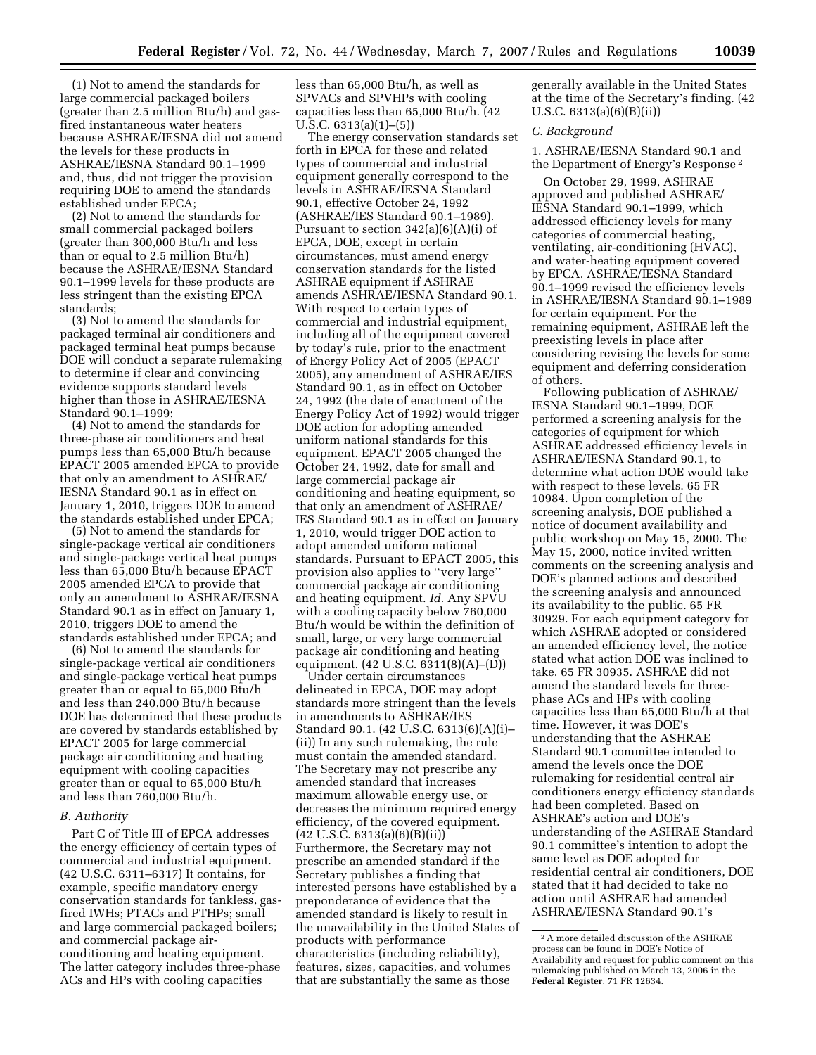(1) Not to amend the standards for large commercial packaged boilers (greater than 2.5 million Btu/h) and gasfired instantaneous water heaters because ASHRAE/IESNA did not amend the levels for these products in ASHRAE/IESNA Standard 90.1–1999 and, thus, did not trigger the provision requiring DOE to amend the standards established under EPCA;

(2) Not to amend the standards for small commercial packaged boilers (greater than 300,000 Btu/h and less than or equal to 2.5 million Btu/h) because the ASHRAE/IESNA Standard 90.1–1999 levels for these products are less stringent than the existing EPCA standards;

(3) Not to amend the standards for packaged terminal air conditioners and packaged terminal heat pumps because DOE will conduct a separate rulemaking to determine if clear and convincing evidence supports standard levels higher than those in ASHRAE/IESNA Standard 90.1–1999;

(4) Not to amend the standards for three-phase air conditioners and heat pumps less than 65,000 Btu/h because EPACT 2005 amended EPCA to provide that only an amendment to ASHRAE/ IESNA Standard 90.1 as in effect on January 1, 2010, triggers DOE to amend the standards established under EPCA;

(5) Not to amend the standards for single-package vertical air conditioners and single-package vertical heat pumps less than 65,000 Btu/h because EPACT 2005 amended EPCA to provide that only an amendment to ASHRAE/IESNA Standard 90.1 as in effect on January 1, 2010, triggers DOE to amend the standards established under EPCA; and

(6) Not to amend the standards for single-package vertical air conditioners and single-package vertical heat pumps greater than or equal to 65,000 Btu/h and less than 240,000 Btu/h because DOE has determined that these products are covered by standards established by EPACT 2005 for large commercial package air conditioning and heating equipment with cooling capacities greater than or equal to 65,000 Btu/h and less than 760,000 Btu/h.

#### *B. Authority*

Part C of Title III of EPCA addresses the energy efficiency of certain types of commercial and industrial equipment. (42 U.S.C. 6311–6317) It contains, for example, specific mandatory energy conservation standards for tankless, gasfired IWHs; PTACs and PTHPs; small and large commercial packaged boilers; and commercial package airconditioning and heating equipment. The latter category includes three-phase ACs and HPs with cooling capacities

less than 65,000 Btu/h, as well as SPVACs and SPVHPs with cooling capacities less than 65,000 Btu/h. (42 U.S.C. 6313(a)(1)–(5))

The energy conservation standards set forth in EPCA for these and related types of commercial and industrial equipment generally correspond to the levels in ASHRAE/IESNA Standard 90.1, effective October 24, 1992 (ASHRAE/IES Standard 90.1–1989). Pursuant to section 342(a)(6)(A)(i) of EPCA, DOE, except in certain circumstances, must amend energy conservation standards for the listed ASHRAE equipment if ASHRAE amends ASHRAE/IESNA Standard 90.1. With respect to certain types of commercial and industrial equipment, including all of the equipment covered by today's rule, prior to the enactment of Energy Policy Act of 2005 (EPACT 2005), any amendment of ASHRAE/IES Standard 90.1, as in effect on October 24, 1992 (the date of enactment of the Energy Policy Act of 1992) would trigger DOE action for adopting amended uniform national standards for this equipment. EPACT 2005 changed the October 24, 1992, date for small and large commercial package air conditioning and heating equipment, so that only an amendment of ASHRAE/ IES Standard 90.1 as in effect on January 1, 2010, would trigger DOE action to adopt amended uniform national standards. Pursuant to EPACT 2005, this provision also applies to ''very large'' commercial package air conditioning and heating equipment. *Id.* Any SPVU with a cooling capacity below 760,000 Btu/h would be within the definition of small, large, or very large commercial package air conditioning and heating equipment. (42 U.S.C. 6311(8)(A)–(D))

Under certain circumstances delineated in EPCA, DOE may adopt standards more stringent than the levels in amendments to ASHRAE/IES Standard 90.1. (42 U.S.C. 6313(6)(A)(i)– (ii)) In any such rulemaking, the rule must contain the amended standard. The Secretary may not prescribe any amended standard that increases maximum allowable energy use, or decreases the minimum required energy efficiency, of the covered equipment.  $(42 \text{ U.S.C. } 6313(a)(6)(B)(ii))$ Furthermore, the Secretary may not prescribe an amended standard if the Secretary publishes a finding that interested persons have established by a preponderance of evidence that the amended standard is likely to result in the unavailability in the United States of products with performance characteristics (including reliability), features, sizes, capacities, and volumes that are substantially the same as those

generally available in the United States at the time of the Secretary's finding. (42 U.S.C. 6313(a)(6)(B)(ii))

### *C. Background*

1. ASHRAE/IESNA Standard 90.1 and the Department of Energy's Response 2

On October 29, 1999, ASHRAE approved and published ASHRAE/ IESNA Standard 90.1–1999, which addressed efficiency levels for many categories of commercial heating, ventilating, air-conditioning (HVAC), and water-heating equipment covered by EPCA. ASHRAE/IESNA Standard 90.1–1999 revised the efficiency levels in ASHRAE/IESNA Standard 90.1–1989 for certain equipment. For the remaining equipment, ASHRAE left the preexisting levels in place after considering revising the levels for some equipment and deferring consideration of others.

Following publication of ASHRAE/ IESNA Standard 90.1–1999, DOE performed a screening analysis for the categories of equipment for which ASHRAE addressed efficiency levels in ASHRAE/IESNA Standard 90.1, to determine what action DOE would take with respect to these levels. 65 FR 10984. Upon completion of the screening analysis, DOE published a notice of document availability and public workshop on May 15, 2000. The May 15, 2000, notice invited written comments on the screening analysis and DOE's planned actions and described the screening analysis and announced its availability to the public. 65 FR 30929. For each equipment category for which ASHRAE adopted or considered an amended efficiency level, the notice stated what action DOE was inclined to take. 65 FR 30935. ASHRAE did not amend the standard levels for threephase ACs and HPs with cooling capacities less than 65,000 Btu/h at that time. However, it was DOE's understanding that the ASHRAE Standard 90.1 committee intended to amend the levels once the DOE rulemaking for residential central air conditioners energy efficiency standards had been completed. Based on ASHRAE's action and DOE's understanding of the ASHRAE Standard 90.1 committee's intention to adopt the same level as DOE adopted for residential central air conditioners, DOE stated that it had decided to take no action until ASHRAE had amended ASHRAE/IESNA Standard 90.1's

<sup>2</sup>A more detailed discussion of the ASHRAE process can be found in DOE's Notice of Availability and request for public comment on this rulemaking published on March 13, 2006 in the **Federal Register**. 71 FR 12634.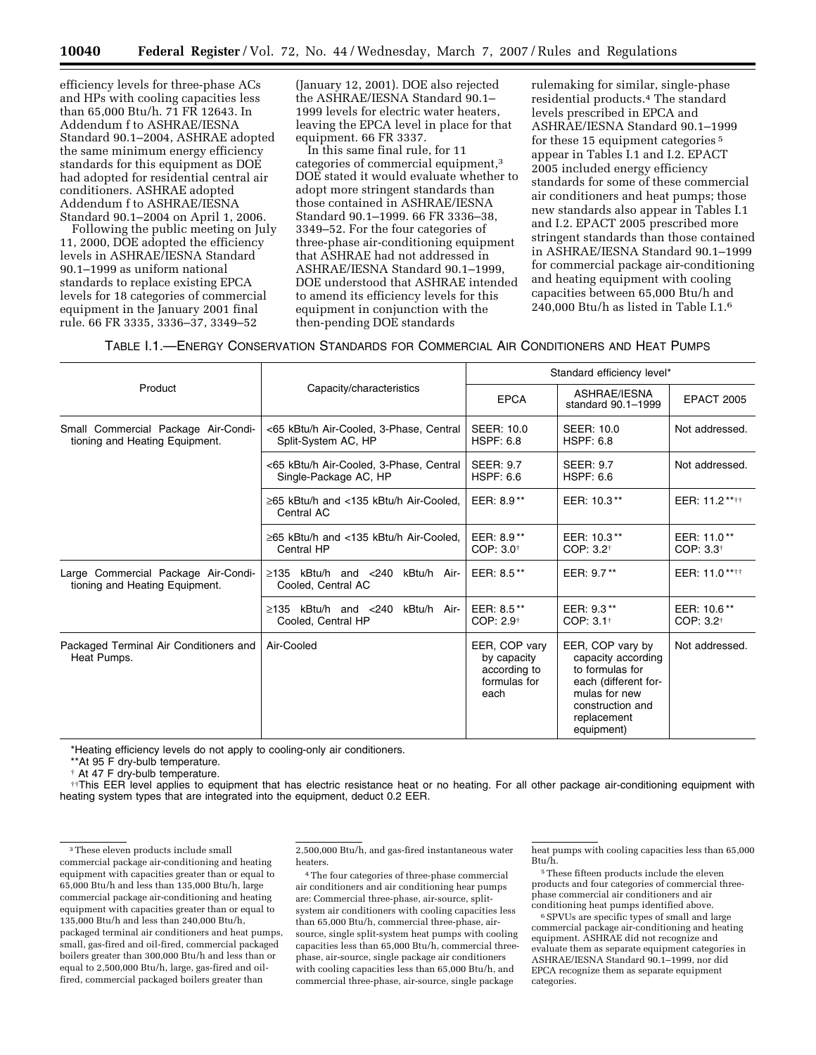efficiency levels for three-phase ACs and HPs with cooling capacities less than 65,000 Btu/h. 71 FR 12643. In Addendum f to ASHRAE/IESNA Standard 90.1–2004, ASHRAE adopted the same minimum energy efficiency standards for this equipment as DOE had adopted for residential central air conditioners. ASHRAE adopted Addendum f to ASHRAE/IESNA Standard 90.1–2004 on April 1, 2006.

Following the public meeting on July 11, 2000, DOE adopted the efficiency levels in ASHRAE/IESNA Standard 90.1–1999 as uniform national standards to replace existing EPCA levels for 18 categories of commercial equipment in the January 2001 final rule. 66 FR 3335, 3336–37, 3349–52

(January 12, 2001). DOE also rejected the ASHRAE/IESNA Standard 90.1– 1999 levels for electric water heaters, leaving the EPCA level in place for that equipment. 66 FR 3337.

In this same final rule, for 11 categories of commercial equipment,3 DOE stated it would evaluate whether to adopt more stringent standards than those contained in ASHRAE/IESNA Standard 90.1–1999. 66 FR 3336–38, 3349–52. For the four categories of three-phase air-conditioning equipment that ASHRAE had not addressed in ASHRAE/IESNA Standard 90.1–1999, DOE understood that ASHRAE intended to amend its efficiency levels for this equipment in conjunction with the then-pending DOE standards

rulemaking for similar, single-phase residential products.4 The standard levels prescribed in EPCA and ASHRAE/IESNA Standard 90.1–1999 for these 15 equipment categories 5 appear in Tables I.1 and I.2. EPACT 2005 included energy efficiency standards for some of these commercial air conditioners and heat pumps; those new standards also appear in Tables I.1 and I.2. EPACT 2005 prescribed more stringent standards than those contained in ASHRAE/IESNA Standard 90.1–1999 for commercial package air-conditioning and heating equipment with cooling capacities between 65,000 Btu/h and 240,000 Btu/h as listed in Table I.1.6

| Table 1.1.—Energy Conservation Standards for Commercial Air Conditioners and Heat Pumps |
|-----------------------------------------------------------------------------------------|
|-----------------------------------------------------------------------------------------|

|                                                                       |                                                                    | Standard efficiency level*                                           |                                                                                                                                                     |                                      |
|-----------------------------------------------------------------------|--------------------------------------------------------------------|----------------------------------------------------------------------|-----------------------------------------------------------------------------------------------------------------------------------------------------|--------------------------------------|
| Product                                                               | Capacity/characteristics                                           | <b>EPCA</b>                                                          | ASHRAE/IESNA<br>standard 90.1-1999                                                                                                                  | <b>EPACT 2005</b>                    |
| Small Commercial Package Air-Condi-<br>tioning and Heating Equipment. | <65 kBtu/h Air-Cooled, 3-Phase, Central<br>Split-System AC, HP     | <b>SEER: 10.0</b><br>HSPF: 6.8                                       | <b>SEER: 10.0</b><br>HSPF: 6.8                                                                                                                      | Not addressed.                       |
|                                                                       | <65 kBtu/h Air-Cooled, 3-Phase, Central<br>Single-Package AC, HP   | <b>SEER: 9.7</b><br><b>HSPF: 6.6</b>                                 | <b>SEER: 9.7</b><br><b>HSPF: 6.6</b>                                                                                                                | Not addressed.                       |
|                                                                       | $\geq$ 65 kBtu/h and <135 kBtu/h Air-Cooled.<br>Central AC         | EER: 8.9**                                                           | EER: 10.3**                                                                                                                                         | EER: 11.2****                        |
|                                                                       | $\geq$ 65 kBtu/h and <135 kBtu/h Air-Cooled.<br>Central HP         | EER: 8.9**<br>$COP: 3.0$ <sup><math>\dagger</math></sup>             | EER: 10.3**<br>COP: 3.2 <sup>†</sup>                                                                                                                | EER: 11.0**<br>COP: 3.3 <sup>†</sup> |
| Large Commercial Package Air-Condi-<br>tioning and Heating Equipment. | $k$ Btu/h and $<$ 240<br>kBtu/h Air-<br>>135<br>Cooled, Central AC | EER: 8.5**                                                           | EER: 9.7**                                                                                                                                          | EER: 11.0****                        |
|                                                                       | $\ge$ 135 kBtu/h and <240 kBtu/h Air-<br>Cooled, Central HP        | EER: 8.5**<br>$COP: 2.9^+$                                           | EER: 9.3**<br>COP: 3.1 <sup>†</sup>                                                                                                                 | EER: 10.6**<br>COP: 3.2 <sup>†</sup> |
| Packaged Terminal Air Conditioners and<br>Heat Pumps.                 | Air-Cooled                                                         | EER, COP vary<br>by capacity<br>according to<br>formulas for<br>each | EER, COP vary by<br>capacity according<br>to formulas for<br>each (different for-<br>mulas for new<br>construction and<br>replacement<br>equipment) | Not addressed.                       |

\*Heating efficiency levels do not apply to cooling-only air conditioners.

\*\*At 95 F dry-bulb temperature.

† At 47 F dry-bulb temperature.

††This EER level applies to equipment that has electric resistance heat or no heating. For all other package air-conditioning equipment with heating system types that are integrated into the equipment, deduct 0.2 EER.

2,500,000 Btu/h, and gas-fired instantaneous water heaters.

4The four categories of three-phase commercial air conditioners and air conditioning hear pumps are: Commercial three-phase, air-source, splitsystem air conditioners with cooling capacities less than 65,000 Btu/h, commercial three-phase, airsource, single split-system heat pumps with cooling capacities less than 65,000 Btu/h, commercial threephase, air-source, single package air conditioners with cooling capacities less than 65,000 Btu/h, and commercial three-phase, air-source, single package

heat pumps with cooling capacities less than 65,000 Btu/h.

5These fifteen products include the eleven products and four categories of commercial threephase commercial air conditioners and air conditioning heat pumps identified above.

6SPVUs are specific types of small and large commercial package air-conditioning and heating equipment. ASHRAE did not recognize and evaluate them as separate equipment categories in ASHRAE/IESNA Standard 90.1–1999, nor did EPCA recognize them as separate equipment categories.

<sup>3</sup>These eleven products include small commercial package air-conditioning and heating equipment with capacities greater than or equal to 65,000 Btu/h and less than 135,000 Btu/h, large commercial package air-conditioning and heating equipment with capacities greater than or equal to 135,000 Btu/h and less than 240,000 Btu/h, packaged terminal air conditioners and heat pumps, small, gas-fired and oil-fired, commercial packaged boilers greater than 300,000 Btu/h and less than or equal to 2,500,000 Btu/h, large, gas-fired and oilfired, commercial packaged boilers greater than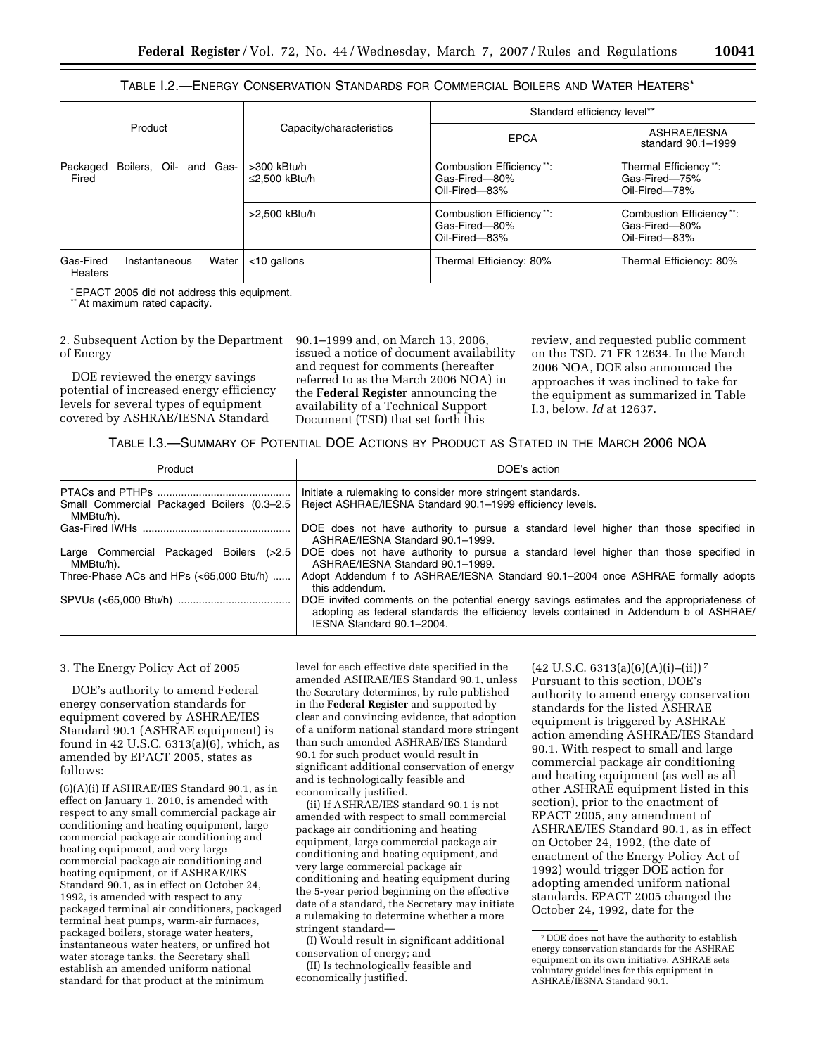# TABLE I.2.—ENERGY CONSERVATION STANDARDS FOR COMMERCIAL BOILERS AND WATER HEATERS\*

|                                             |                                    | Standard efficiency level**                                |                                                            |  |
|---------------------------------------------|------------------------------------|------------------------------------------------------------|------------------------------------------------------------|--|
| Product<br>Capacity/characteristics         |                                    | <b>EPCA</b>                                                | ASHRAE/IESNA<br>standard 90.1-1999                         |  |
| Boilers, Oil- and Gas-<br>Packaged<br>Fired | >300 kBtu/h<br>$\leq$ 2.500 kBtu/h | Combustion Efficiency**:<br>Gas-Fired-80%<br>Oil-Fired-83% | Thermal Efficiency**:<br>Gas-Fired-75%<br>Oil-Fired-78%    |  |
|                                             | >2.500 kBtu/h                      | Combustion Efficiency**:<br>Gas-Fired-80%<br>Oil-Fired-83% | Combustion Efficiency**:<br>Gas-Fired-80%<br>Oil-Fired-83% |  |
| Gas-Fired<br>Instantaneous<br>Heaters       | $<$ 10 gallons<br>Water            | Thermal Efficiency: 80%                                    | Thermal Efficiency: 80%                                    |  |

\*EPACT 2005 did not address this equipment.

\*\*At maximum rated capacity.

2. Subsequent Action by the Department of Energy

DOE reviewed the energy savings potential of increased energy efficiency levels for several types of equipment covered by ASHRAE/IESNA Standard

90.1–1999 and, on March 13, 2006, issued a notice of document availability and request for comments (hereafter referred to as the March 2006 NOA) in the **Federal Register** announcing the availability of a Technical Support Document (TSD) that set forth this

review, and requested public comment on the TSD. 71 FR 12634. In the March 2006 NOA, DOE also announced the approaches it was inclined to take for the equipment as summarized in Table I.3, below. *Id* at 12637.

### TABLE I.3.—SUMMARY OF POTENTIAL DOE ACTIONS BY PRODUCT AS STATED IN THE MARCH 2006 NOA

| Product                                                 | DOE's action                                                                                                                                                                                                     |
|---------------------------------------------------------|------------------------------------------------------------------------------------------------------------------------------------------------------------------------------------------------------------------|
| Small Commercial Packaged Boilers (0.3-2.5<br>MMBtu/h). | Initiate a rulemaking to consider more stringent standards.<br>Reject ASHRAE/IESNA Standard 90.1-1999 efficiency levels.                                                                                         |
|                                                         | DOE does not have authority to pursue a standard level higher than those specified in<br>ASHRAE/IESNA Standard 90.1-1999.                                                                                        |
| Large Commercial Packaged Boilers (>2.5<br>MMBtu/h).    | DOE does not have authority to pursue a standard level higher than those specified in<br>ASHRAE/IESNA Standard 90.1-1999.                                                                                        |
| Three-Phase ACs and HPs $(65,000 Btu/h) $               | Adopt Addendum f to ASHRAE/IESNA Standard 90.1–2004 once ASHRAE formally adopts<br>this addendum.                                                                                                                |
|                                                         | DOE invited comments on the potential energy savings estimates and the appropriateness of<br>adopting as federal standards the efficiency levels contained in Addendum b of ASHRAE/<br>IESNA Standard 90.1-2004. |

#### 3. The Energy Policy Act of 2005

DOE's authority to amend Federal energy conservation standards for equipment covered by ASHRAE/IES Standard 90.1 (ASHRAE equipment) is found in 42 U.S.C. 6313(a)(6), which, as amended by EPACT 2005, states as follows:

(6)(A)(i) If ASHRAE/IES Standard 90.1, as in effect on January 1, 2010, is amended with respect to any small commercial package air conditioning and heating equipment, large commercial package air conditioning and heating equipment, and very large commercial package air conditioning and heating equipment, or if ASHRAE/IES Standard 90.1, as in effect on October 24, 1992, is amended with respect to any packaged terminal air conditioners, packaged terminal heat pumps, warm-air furnaces, packaged boilers, storage water heaters, instantaneous water heaters, or unfired hot water storage tanks, the Secretary shall establish an amended uniform national standard for that product at the minimum

level for each effective date specified in the amended ASHRAE/IES Standard 90.1, unless the Secretary determines, by rule published in the **Federal Register** and supported by clear and convincing evidence, that adoption of a uniform national standard more stringent than such amended ASHRAE/IES Standard 90.1 for such product would result in significant additional conservation of energy and is technologically feasible and economically justified.

(ii) If ASHRAE/IES standard 90.1 is not amended with respect to small commercial package air conditioning and heating equipment, large commercial package air conditioning and heating equipment, and very large commercial package air conditioning and heating equipment during the 5-year period beginning on the effective date of a standard, the Secretary may initiate a rulemaking to determine whether a more stringent standard—

(I) Would result in significant additional conservation of energy; and

(II) Is technologically feasible and economically justified.

Pursuant to this section, DOE's authority to amend energy conservation standards for the listed ASHRAE equipment is triggered by ASHRAE action amending ASHRAE/IES Standard 90.1. With respect to small and large commercial package air conditioning and heating equipment (as well as all other ASHRAE equipment listed in this

 $(42 \text{ U.S.C. } 6313(a)(6)(A)(i)–(ii))^7$ 

section), prior to the enactment of EPACT 2005, any amendment of ASHRAE/IES Standard 90.1, as in effect on October 24, 1992, (the date of enactment of the Energy Policy Act of 1992) would trigger DOE action for adopting amended uniform national standards. EPACT 2005 changed the October 24, 1992, date for the

<sup>7</sup> DOE does not have the authority to establish energy conservation standards for the ASHRAE equipment on its own initiative. ASHRAE sets voluntary guidelines for this equipment in ASHRAE/IESNA Standard 90.1.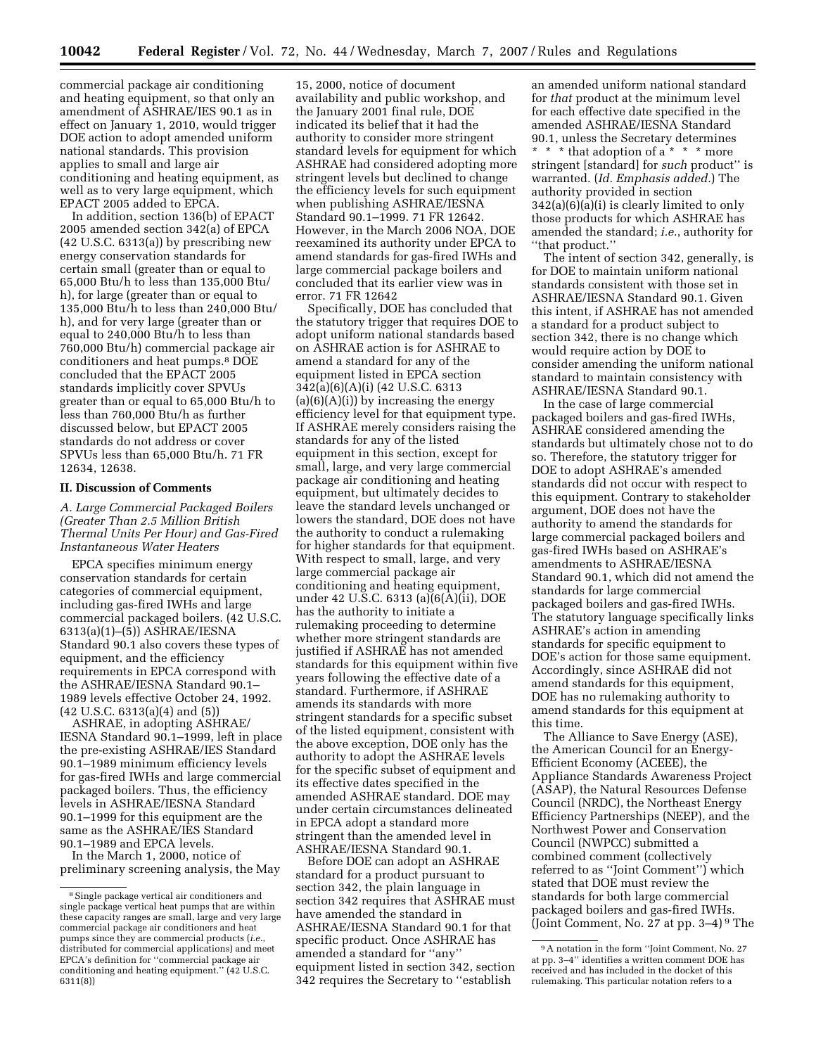commercial package air conditioning and heating equipment, so that only an amendment of ASHRAE/IES 90.1 as in effect on January 1, 2010, would trigger DOE action to adopt amended uniform national standards. This provision applies to small and large air conditioning and heating equipment, as well as to very large equipment, which EPACT 2005 added to EPCA.

In addition, section 136(b) of EPACT 2005 amended section 342(a) of EPCA (42 U.S.C. 6313(a)) by prescribing new energy conservation standards for certain small (greater than or equal to 65,000 Btu/h to less than 135,000 Btu/ h), for large (greater than or equal to 135,000 Btu/h to less than 240,000 Btu/ h), and for very large (greater than or equal to 240,000 Btu/h to less than 760,000 Btu/h) commercial package air conditioners and heat pumps.8 DOE concluded that the EPACT 2005 standards implicitly cover SPVUs greater than or equal to 65,000 Btu/h to less than 760,000 Btu/h as further discussed below, but EPACT 2005 standards do not address or cover SPVUs less than 65,000 Btu/h. 71 FR 12634, 12638.

#### **II. Discussion of Comments**

*A. Large Commercial Packaged Boilers (Greater Than 2.5 Million British Thermal Units Per Hour) and Gas-Fired Instantaneous Water Heaters* 

EPCA specifies minimum energy conservation standards for certain categories of commercial equipment, including gas-fired IWHs and large commercial packaged boilers. (42 U.S.C. 6313(a)(1)–(5)) ASHRAE/IESNA Standard 90.1 also covers these types of equipment, and the efficiency requirements in EPCA correspond with the ASHRAE/IESNA Standard 90.1– 1989 levels effective October 24, 1992. (42 U.S.C. 6313(a)(4) and (5))

ASHRAE, in adopting ASHRAE/ IESNA Standard 90.1–1999, left in place the pre-existing ASHRAE/IES Standard 90.1–1989 minimum efficiency levels for gas-fired IWHs and large commercial packaged boilers. Thus, the efficiency levels in ASHRAE/IESNA Standard 90.1–1999 for this equipment are the same as the ASHRAE/IES Standard 90.1–1989 and EPCA levels.

In the March 1, 2000, notice of preliminary screening analysis, the May

15, 2000, notice of document availability and public workshop, and the January 2001 final rule, DOE indicated its belief that it had the authority to consider more stringent standard levels for equipment for which ASHRAE had considered adopting more stringent levels but declined to change the efficiency levels for such equipment when publishing ASHRAE/IESNA Standard 90.1–1999. 71 FR 12642. However, in the March 2006 NOA, DOE reexamined its authority under EPCA to amend standards for gas-fired IWHs and large commercial package boilers and concluded that its earlier view was in error. 71 FR 12642

Specifically, DOE has concluded that the statutory trigger that requires DOE to adopt uniform national standards based on ASHRAE action is for ASHRAE to amend a standard for any of the equipment listed in EPCA section 342(a)(6)(A)(i) (42 U.S.C. 6313  $(a)(6)(A)(i)$  by increasing the energy efficiency level for that equipment type. If ASHRAE merely considers raising the standards for any of the listed equipment in this section, except for small, large, and very large commercial package air conditioning and heating equipment, but ultimately decides to leave the standard levels unchanged or lowers the standard, DOE does not have the authority to conduct a rulemaking for higher standards for that equipment. With respect to small, large, and very large commercial package air conditioning and heating equipment, under 42 U.S.C. 6313 (a)(6(A)(ii), DOE has the authority to initiate a rulemaking proceeding to determine whether more stringent standards are justified if ASHRAE has not amended standards for this equipment within five years following the effective date of a standard. Furthermore, if ASHRAE amends its standards with more stringent standards for a specific subset of the listed equipment, consistent with the above exception, DOE only has the authority to adopt the ASHRAE levels for the specific subset of equipment and its effective dates specified in the amended ASHRAE standard. DOE may under certain circumstances delineated in EPCA adopt a standard more stringent than the amended level in ASHRAE/IESNA Standard 90.1.

Before DOE can adopt an ASHRAE standard for a product pursuant to section 342, the plain language in section 342 requires that ASHRAE must have amended the standard in ASHRAE/IESNA Standard 90.1 for that specific product. Once ASHRAE has amended a standard for ''any'' equipment listed in section 342, section 342 requires the Secretary to ''establish

an amended uniform national standard for *that* product at the minimum level for each effective date specified in the amended ASHRAE/IESNA Standard 90.1, unless the Secretary determines \* \* \* that adoption of a \* \* \* more stringent [standard] for *such* product'' is warranted. (*Id. Emphasis added.*) The authority provided in section 342(a)(6)(a)(i) is clearly limited to only those products for which ASHRAE has amended the standard; *i.e.*, authority for ''that product.''

The intent of section 342, generally, is for DOE to maintain uniform national standards consistent with those set in ASHRAE/IESNA Standard 90.1. Given this intent, if ASHRAE has not amended a standard for a product subject to section 342, there is no change which would require action by DOE to consider amending the uniform national standard to maintain consistency with ASHRAE/IESNA Standard 90.1.

In the case of large commercial packaged boilers and gas-fired IWHs, ASHRAE considered amending the standards but ultimately chose not to do so. Therefore, the statutory trigger for DOE to adopt ASHRAE's amended standards did not occur with respect to this equipment. Contrary to stakeholder argument, DOE does not have the authority to amend the standards for large commercial packaged boilers and gas-fired IWHs based on ASHRAE's amendments to ASHRAE/IESNA Standard 90.1, which did not amend the standards for large commercial packaged boilers and gas-fired IWHs. The statutory language specifically links ASHRAE's action in amending standards for specific equipment to DOE's action for those same equipment. Accordingly, since ASHRAE did not amend standards for this equipment, DOE has no rulemaking authority to amend standards for this equipment at this time.

The Alliance to Save Energy (ASE), the American Council for an Energy-Efficient Economy (ACEEE), the Appliance Standards Awareness Project (ASAP), the Natural Resources Defense Council (NRDC), the Northeast Energy Efficiency Partnerships (NEEP), and the Northwest Power and Conservation Council (NWPCC) submitted a combined comment (collectively referred to as ''Joint Comment'') which stated that DOE must review the standards for both large commercial packaged boilers and gas-fired IWHs. (Joint Comment, No. 27 at pp. 3–4) 9 The

<sup>8</sup>Single package vertical air conditioners and single package vertical heat pumps that are within these capacity ranges are small, large and very large commercial package air conditioners and heat pumps since they are commercial products (*i.e.*, distributed for commercial applications) and meet EPCA's definition for ''commercial package air conditioning and heating equipment.'' (42 U.S.C. 6311(8))

<sup>9</sup>A notation in the form ''Joint Comment, No. 27 at pp. 3–4'' identifies a written comment DOE has received and has included in the docket of this rulemaking. This particular notation refers to a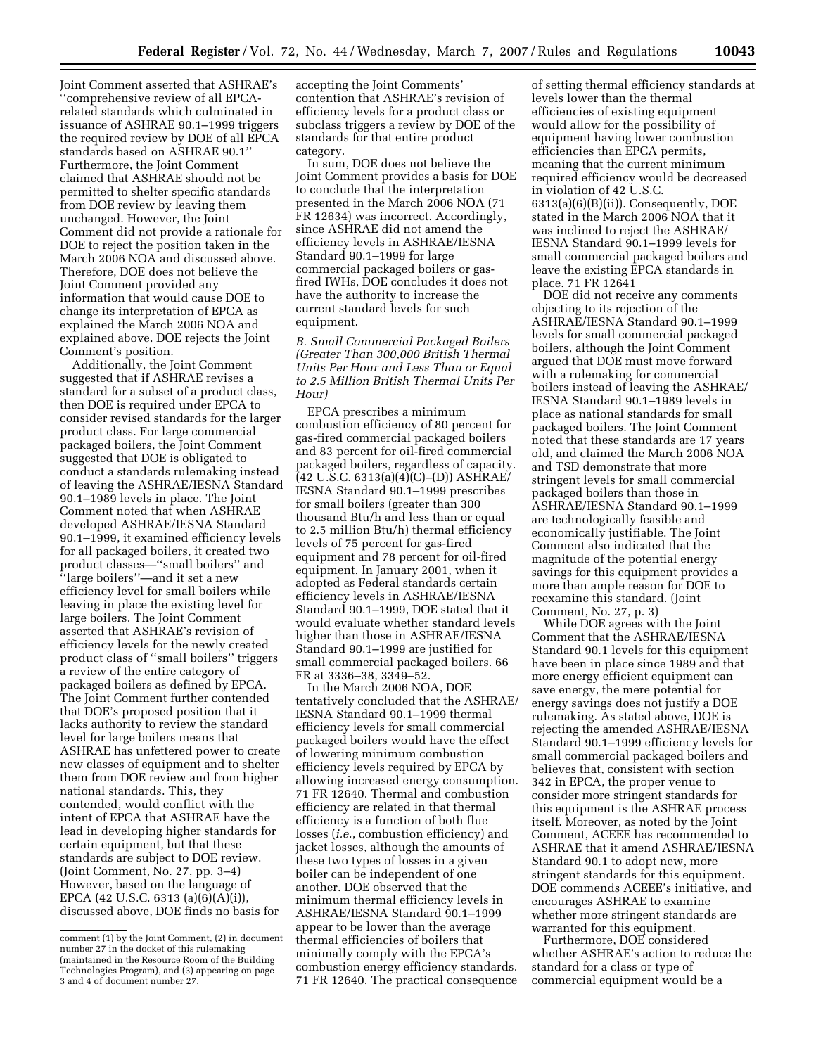Joint Comment asserted that ASHRAE's ''comprehensive review of all EPCArelated standards which culminated in issuance of ASHRAE 90.1–1999 triggers the required review by DOE of all EPCA standards based on ASHRAE 90.1'' Furthermore, the Joint Comment claimed that ASHRAE should not be permitted to shelter specific standards from DOE review by leaving them unchanged. However, the Joint Comment did not provide a rationale for DOE to reject the position taken in the March 2006 NOA and discussed above. Therefore, DOE does not believe the Joint Comment provided any information that would cause DOE to change its interpretation of EPCA as explained the March 2006 NOA and explained above. DOE rejects the Joint Comment's position.

Additionally, the Joint Comment suggested that if ASHRAE revises a standard for a subset of a product class, then DOE is required under EPCA to consider revised standards for the larger product class. For large commercial packaged boilers, the Joint Comment suggested that DOE is obligated to conduct a standards rulemaking instead of leaving the ASHRAE/IESNA Standard 90.1–1989 levels in place. The Joint Comment noted that when ASHRAE developed ASHRAE/IESNA Standard 90.1–1999, it examined efficiency levels for all packaged boilers, it created two product classes—''small boilers'' and ''large boilers''—and it set a new efficiency level for small boilers while leaving in place the existing level for large boilers. The Joint Comment asserted that ASHRAE's revision of efficiency levels for the newly created product class of ''small boilers'' triggers a review of the entire category of packaged boilers as defined by EPCA. The Joint Comment further contended that DOE's proposed position that it lacks authority to review the standard level for large boilers means that ASHRAE has unfettered power to create new classes of equipment and to shelter them from DOE review and from higher national standards. This, they contended, would conflict with the intent of EPCA that ASHRAE have the lead in developing higher standards for certain equipment, but that these standards are subject to DOE review. (Joint Comment, No. 27, pp. 3–4) However, based on the language of EPCA (42 U.S.C. 6313 (a)(6)(A)(i)), discussed above, DOE finds no basis for

accepting the Joint Comments' contention that ASHRAE's revision of efficiency levels for a product class or subclass triggers a review by DOE of the standards for that entire product category.

In sum, DOE does not believe the Joint Comment provides a basis for DOE to conclude that the interpretation presented in the March 2006 NOA (71 FR 12634) was incorrect. Accordingly, since ASHRAE did not amend the efficiency levels in ASHRAE/IESNA Standard 90.1–1999 for large commercial packaged boilers or gasfired IWHs, DOE concludes it does not have the authority to increase the current standard levels for such equipment.

*B. Small Commercial Packaged Boilers (Greater Than 300,000 British Thermal Units Per Hour and Less Than or Equal to 2.5 Million British Thermal Units Per Hour)* 

EPCA prescribes a minimum combustion efficiency of 80 percent for gas-fired commercial packaged boilers and 83 percent for oil-fired commercial packaged boilers, regardless of capacity. (42 U.S.C. 6313(a)(4)(C)–(D)) ASHRAE/ IESNA Standard 90.1–1999 prescribes for small boilers (greater than 300 thousand Btu/h and less than or equal to 2.5 million Btu/h) thermal efficiency levels of 75 percent for gas-fired equipment and 78 percent for oil-fired equipment. In January 2001, when it adopted as Federal standards certain efficiency levels in ASHRAE/IESNA Standard 90.1–1999, DOE stated that it would evaluate whether standard levels higher than those in ASHRAE/IESNA Standard 90.1–1999 are justified for small commercial packaged boilers. 66 FR at 3336–38, 3349–52.

In the March 2006 NOA, DOE tentatively concluded that the ASHRAE/ IESNA Standard 90.1–1999 thermal efficiency levels for small commercial packaged boilers would have the effect of lowering minimum combustion efficiency levels required by EPCA by allowing increased energy consumption. 71 FR 12640. Thermal and combustion efficiency are related in that thermal efficiency is a function of both flue losses (*i.e.*, combustion efficiency) and jacket losses, although the amounts of these two types of losses in a given boiler can be independent of one another. DOE observed that the minimum thermal efficiency levels in ASHRAE/IESNA Standard 90.1–1999 appear to be lower than the average thermal efficiencies of boilers that minimally comply with the EPCA's combustion energy efficiency standards. 71 FR 12640. The practical consequence

of setting thermal efficiency standards at levels lower than the thermal efficiencies of existing equipment would allow for the possibility of equipment having lower combustion efficiencies than EPCA permits, meaning that the current minimum required efficiency would be decreased in violation of 42 U.S.C. 6313(a)(6)(B)(ii)). Consequently, DOE stated in the March 2006 NOA that it was inclined to reject the ASHRAE/ IESNA Standard 90.1–1999 levels for small commercial packaged boilers and leave the existing EPCA standards in place. 71 FR 12641

DOE did not receive any comments objecting to its rejection of the ASHRAE/IESNA Standard 90.1–1999 levels for small commercial packaged boilers, although the Joint Comment argued that DOE must move forward with a rulemaking for commercial boilers instead of leaving the ASHRAE/ IESNA Standard 90.1–1989 levels in place as national standards for small packaged boilers. The Joint Comment noted that these standards are 17 years old, and claimed the March 2006 NOA and TSD demonstrate that more stringent levels for small commercial packaged boilers than those in ASHRAE/IESNA Standard 90.1–1999 are technologically feasible and economically justifiable. The Joint Comment also indicated that the magnitude of the potential energy savings for this equipment provides a more than ample reason for DOE to reexamine this standard. (Joint Comment, No. 27, p. 3)

While DOE agrees with the Joint Comment that the ASHRAE/IESNA Standard 90.1 levels for this equipment have been in place since 1989 and that more energy efficient equipment can save energy, the mere potential for energy savings does not justify a DOE rulemaking. As stated above, DOE is rejecting the amended ASHRAE/IESNA Standard 90.1–1999 efficiency levels for small commercial packaged boilers and believes that, consistent with section 342 in EPCA, the proper venue to consider more stringent standards for this equipment is the ASHRAE process itself. Moreover, as noted by the Joint Comment, ACEEE has recommended to ASHRAE that it amend ASHRAE/IESNA Standard 90.1 to adopt new, more stringent standards for this equipment. DOE commends ACEEE's initiative, and encourages ASHRAE to examine whether more stringent standards are warranted for this equipment.

Furthermore, DOE considered whether ASHRAE's action to reduce the standard for a class or type of commercial equipment would be a

comment (1) by the Joint Comment, (2) in document number 27 in the docket of this rulemaking (maintained in the Resource Room of the Building Technologies Program), and (3) appearing on page 3 and 4 of document number 27.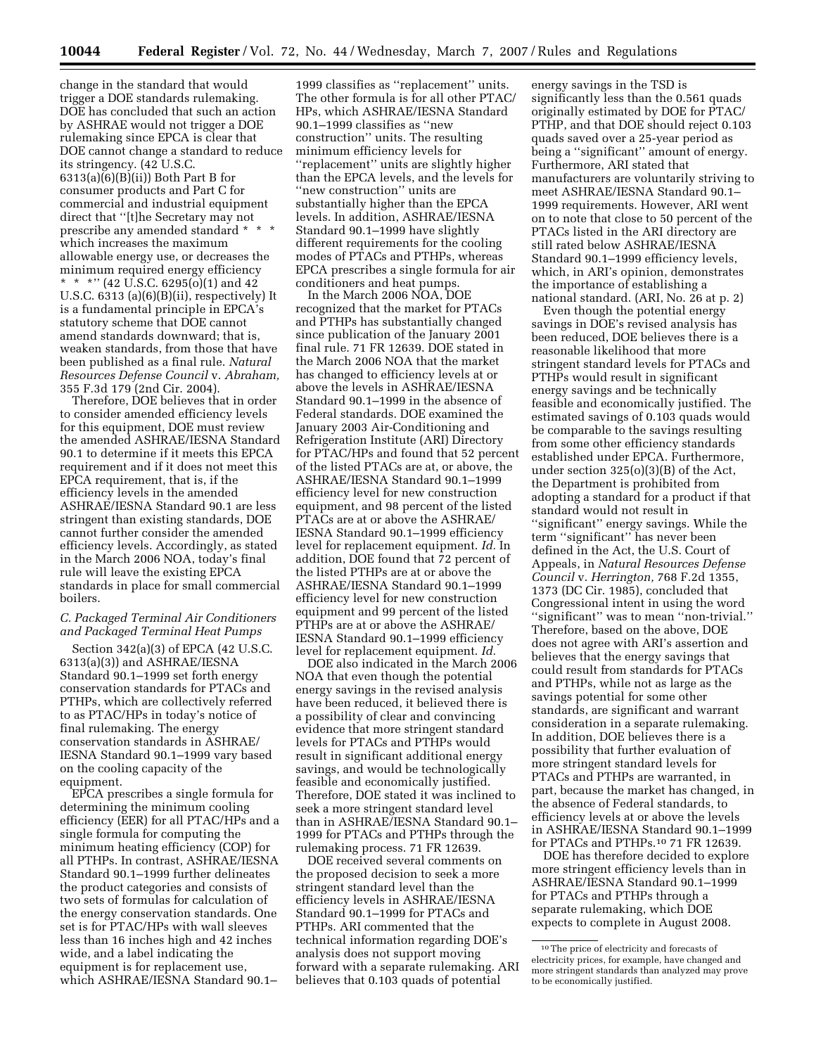change in the standard that would trigger a DOE standards rulemaking. DOE has concluded that such an action by ASHRAE would not trigger a DOE rulemaking since EPCA is clear that DOE cannot change a standard to reduce its stringency. (42 U.S.C. 6313(a)(6)(B)(ii)) Both Part B for consumer products and Part C for commercial and industrial equipment direct that ''[t]he Secretary may not prescribe any amended standard \* \* \* which increases the maximum allowable energy use, or decreases the minimum required energy efficiency \* \* \*'' (42 U.S.C. 6295(o)(1) and 42 U.S.C. 6313 (a)(6)(B)(ii), respectively) It is a fundamental principle in EPCA's statutory scheme that DOE cannot amend standards downward; that is, weaken standards, from those that have been published as a final rule. *Natural Resources Defense Council* v. *Abraham,*  355 F.3d 179 (2nd Cir. 2004).

Therefore, DOE believes that in order to consider amended efficiency levels for this equipment, DOE must review the amended ASHRAE/IESNA Standard 90.1 to determine if it meets this EPCA requirement and if it does not meet this EPCA requirement, that is, if the efficiency levels in the amended ASHRAE/IESNA Standard 90.1 are less stringent than existing standards, DOE cannot further consider the amended efficiency levels. Accordingly, as stated in the March 2006 NOA, today's final rule will leave the existing EPCA standards in place for small commercial boilers.

#### *C. Packaged Terminal Air Conditioners and Packaged Terminal Heat Pumps*

Section 342(a)(3) of EPCA (42 U.S.C. 6313(a)(3)) and ASHRAE/IESNA Standard 90.1–1999 set forth energy conservation standards for PTACs and PTHPs, which are collectively referred to as PTAC/HPs in today's notice of final rulemaking. The energy conservation standards in ASHRAE/ IESNA Standard 90.1–1999 vary based on the cooling capacity of the equipment.

EPCA prescribes a single formula for determining the minimum cooling efficiency (EER) for all PTAC/HPs and a single formula for computing the minimum heating efficiency (COP) for all PTHPs. In contrast, ASHRAE/IESNA Standard 90.1–1999 further delineates the product categories and consists of two sets of formulas for calculation of the energy conservation standards. One set is for PTAC/HPs with wall sleeves less than 16 inches high and 42 inches wide, and a label indicating the equipment is for replacement use, which ASHRAE/IESNA Standard 90.1–

1999 classifies as ''replacement'' units. The other formula is for all other PTAC/ HPs, which ASHRAE/IESNA Standard 90.1–1999 classifies as ''new construction'' units. The resulting minimum efficiency levels for ''replacement'' units are slightly higher than the EPCA levels, and the levels for ''new construction'' units are substantially higher than the EPCA levels. In addition, ASHRAE/IESNA Standard 90.1–1999 have slightly different requirements for the cooling modes of PTACs and PTHPs, whereas EPCA prescribes a single formula for air conditioners and heat pumps.

In the March 2006 NOA, DOE recognized that the market for PTACs and PTHPs has substantially changed since publication of the January 2001 final rule. 71 FR 12639. DOE stated in the March 2006 NOA that the market has changed to efficiency levels at or above the levels in ASHRAE/IESNA Standard 90.1–1999 in the absence of Federal standards. DOE examined the January 2003 Air-Conditioning and Refrigeration Institute (ARI) Directory for PTAC/HPs and found that 52 percent of the listed PTACs are at, or above, the ASHRAE/IESNA Standard 90.1–1999 efficiency level for new construction equipment, and 98 percent of the listed PTACs are at or above the ASHRAE/ IESNA Standard 90.1–1999 efficiency level for replacement equipment. *Id.* In addition, DOE found that 72 percent of the listed PTHPs are at or above the ASHRAE/IESNA Standard 90.1–1999 efficiency level for new construction equipment and 99 percent of the listed PTHPs are at or above the ASHRAE/ IESNA Standard 90.1–1999 efficiency level for replacement equipment. *Id.* 

DOE also indicated in the March 2006 NOA that even though the potential energy savings in the revised analysis have been reduced, it believed there is a possibility of clear and convincing evidence that more stringent standard levels for PTACs and PTHPs would result in significant additional energy savings, and would be technologically feasible and economically justified. Therefore, DOE stated it was inclined to seek a more stringent standard level than in ASHRAE/IESNA Standard 90.1– 1999 for PTACs and PTHPs through the rulemaking process. 71 FR 12639.

DOE received several comments on the proposed decision to seek a more stringent standard level than the efficiency levels in ASHRAE/IESNA Standard 90.1–1999 for PTACs and PTHPs. ARI commented that the technical information regarding DOE's analysis does not support moving forward with a separate rulemaking. ARI believes that 0.103 quads of potential

energy savings in the TSD is significantly less than the 0.561 quads originally estimated by DOE for PTAC/ PTHP, and that DOE should reject 0.103 quads saved over a 25-year period as being a ''significant'' amount of energy. Furthermore, ARI stated that manufacturers are voluntarily striving to meet ASHRAE/IESNA Standard 90.1– 1999 requirements. However, ARI went on to note that close to 50 percent of the PTACs listed in the ARI directory are still rated below ASHRAE/IESNA Standard 90.1–1999 efficiency levels, which, in ARI's opinion, demonstrates the importance of establishing a national standard. (ARI, No. 26 at p. 2)

Even though the potential energy savings in DOE's revised analysis has been reduced, DOE believes there is a reasonable likelihood that more stringent standard levels for PTACs and PTHPs would result in significant energy savings and be technically feasible and economically justified. The estimated savings of 0.103 quads would be comparable to the savings resulting from some other efficiency standards established under EPCA. Furthermore, under section 325(o)(3)(B) of the Act, the Department is prohibited from adopting a standard for a product if that standard would not result in ''significant'' energy savings. While the term ''significant'' has never been defined in the Act, the U.S. Court of Appeals, in *Natural Resources Defense Council* v. *Herrington,* 768 F.2d 1355, 1373 (DC Cir. 1985), concluded that Congressional intent in using the word ''significant'' was to mean ''non-trivial.'' Therefore, based on the above, DOE does not agree with ARI's assertion and believes that the energy savings that could result from standards for PTACs and PTHPs, while not as large as the savings potential for some other standards, are significant and warrant consideration in a separate rulemaking. In addition, DOE believes there is a possibility that further evaluation of more stringent standard levels for PTACs and PTHPs are warranted, in part, because the market has changed, in the absence of Federal standards, to efficiency levels at or above the levels in ASHRAE/IESNA Standard 90.1–1999 for PTACs and PTHPs.10 71 FR 12639.

DOE has therefore decided to explore more stringent efficiency levels than in ASHRAE/IESNA Standard 90.1–1999 for PTACs and PTHPs through a separate rulemaking, which DOE expects to complete in August 2008.

<sup>10</sup>The price of electricity and forecasts of electricity prices, for example, have changed and more stringent standards than analyzed may prove to be economically justified.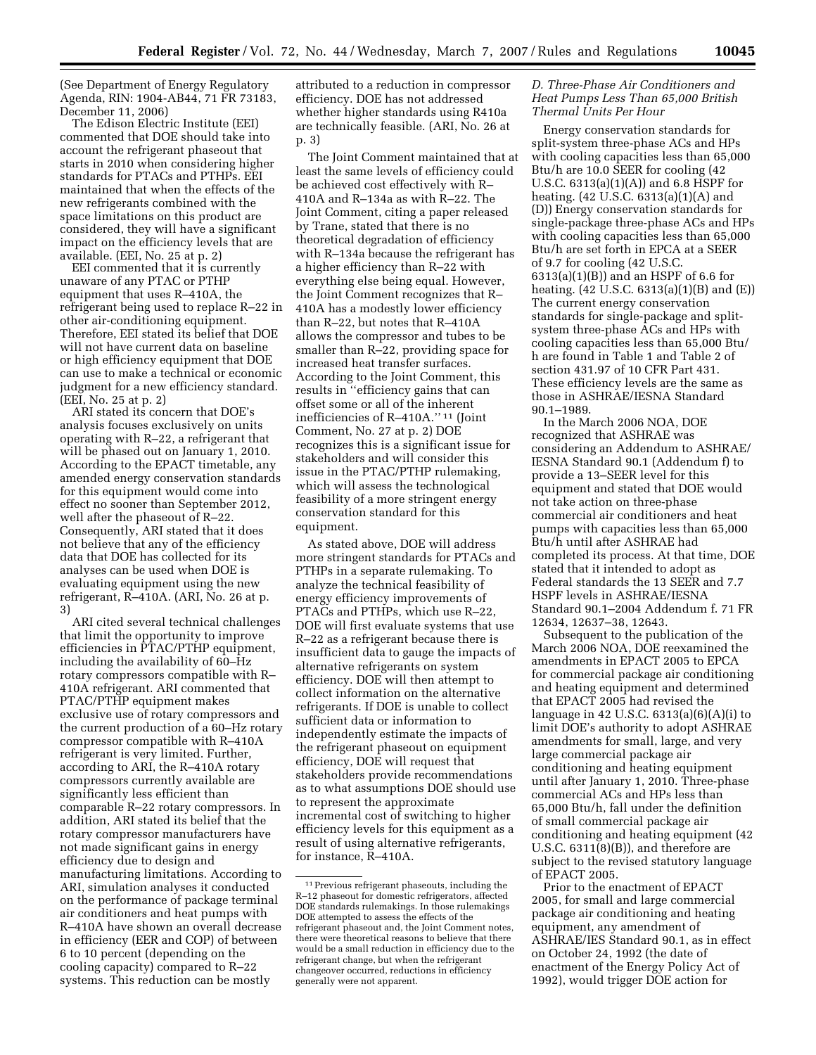(See Department of Energy Regulatory Agenda, RIN: 1904-AB44, 71 FR 73183, December 11, 2006)

The Edison Electric Institute (EEI) commented that DOE should take into account the refrigerant phaseout that starts in 2010 when considering higher standards for PTACs and PTHPs. EEI maintained that when the effects of the new refrigerants combined with the space limitations on this product are considered, they will have a significant impact on the efficiency levels that are available. (EEI, No. 25 at p. 2)

EEI commented that it is currently unaware of any PTAC or PTHP equipment that uses R–410A, the refrigerant being used to replace R–22 in other air-conditioning equipment. Therefore, EEI stated its belief that DOE will not have current data on baseline or high efficiency equipment that DOE can use to make a technical or economic judgment for a new efficiency standard. (EEI, No. 25 at p. 2)

ARI stated its concern that DOE's analysis focuses exclusively on units operating with R–22, a refrigerant that will be phased out on January 1, 2010. According to the EPACT timetable, any amended energy conservation standards for this equipment would come into effect no sooner than September 2012, well after the phaseout of R–22. Consequently, ARI stated that it does not believe that any of the efficiency data that DOE has collected for its analyses can be used when DOE is evaluating equipment using the new refrigerant, R–410A. (ARI, No. 26 at p. 3)

ARI cited several technical challenges that limit the opportunity to improve efficiencies in PTAC/PTHP equipment, including the availability of 60–Hz rotary compressors compatible with R– 410A refrigerant. ARI commented that PTAC/PTHP equipment makes exclusive use of rotary compressors and the current production of a 60–Hz rotary compressor compatible with R–410A refrigerant is very limited. Further, according to ARI, the R–410A rotary compressors currently available are significantly less efficient than comparable R–22 rotary compressors. In addition, ARI stated its belief that the rotary compressor manufacturers have not made significant gains in energy efficiency due to design and manufacturing limitations. According to ARI, simulation analyses it conducted on the performance of package terminal air conditioners and heat pumps with R–410A have shown an overall decrease in efficiency (EER and COP) of between 6 to 10 percent (depending on the cooling capacity) compared to R–22 systems. This reduction can be mostly

attributed to a reduction in compressor efficiency. DOE has not addressed whether higher standards using R410a are technically feasible. (ARI, No. 26 at p. 3)

The Joint Comment maintained that at least the same levels of efficiency could be achieved cost effectively with R– 410A and R–134a as with R–22. The Joint Comment, citing a paper released by Trane, stated that there is no theoretical degradation of efficiency with R–134a because the refrigerant has a higher efficiency than R–22 with everything else being equal. However, the Joint Comment recognizes that R– 410A has a modestly lower efficiency than R–22, but notes that R–410A allows the compressor and tubes to be smaller than R–22, providing space for increased heat transfer surfaces. According to the Joint Comment, this results in ''efficiency gains that can offset some or all of the inherent inefficiencies of R–410A.'' 11 (Joint Comment, No. 27 at p. 2) DOE recognizes this is a significant issue for stakeholders and will consider this issue in the PTAC/PTHP rulemaking, which will assess the technological feasibility of a more stringent energy conservation standard for this equipment.

As stated above, DOE will address more stringent standards for PTACs and PTHPs in a separate rulemaking. To analyze the technical feasibility of energy efficiency improvements of PTACs and PTHPs, which use R–22, DOE will first evaluate systems that use R–22 as a refrigerant because there is insufficient data to gauge the impacts of alternative refrigerants on system efficiency. DOE will then attempt to collect information on the alternative refrigerants. If DOE is unable to collect sufficient data or information to independently estimate the impacts of the refrigerant phaseout on equipment efficiency, DOE will request that stakeholders provide recommendations as to what assumptions DOE should use to represent the approximate incremental cost of switching to higher efficiency levels for this equipment as a result of using alternative refrigerants, for instance, R–410A.

# *D. Three-Phase Air Conditioners and Heat Pumps Less Than 65,000 British Thermal Units Per Hour*

Energy conservation standards for split-system three-phase ACs and HPs with cooling capacities less than 65,000 Btu/h are 10.0 SEER for cooling (42 U.S.C. 6313(a)(1)(A)) and 6.8 HSPF for heating. (42 U.S.C. 6313(a)(1)(A) and (D)) Energy conservation standards for single-package three-phase ACs and HPs with cooling capacities less than 65,000 Btu/h are set forth in EPCA at a SEER of 9.7 for cooling (42 U.S.C. 6313(a)(1)(B)) and an HSPF of 6.6 for heating. (42 U.S.C. 6313(a)(1)(B) and (E)) The current energy conservation standards for single-package and splitsystem three-phase ACs and HPs with cooling capacities less than 65,000 Btu/ h are found in Table 1 and Table 2 of section 431.97 of 10 CFR Part 431. These efficiency levels are the same as those in ASHRAE/IESNA Standard 90.1–1989.

In the March 2006 NOA, DOE recognized that ASHRAE was considering an Addendum to ASHRAE/ IESNA Standard 90.1 (Addendum f) to provide a 13–SEER level for this equipment and stated that DOE would not take action on three-phase commercial air conditioners and heat pumps with capacities less than 65,000 Btu/h until after ASHRAE had completed its process. At that time, DOE stated that it intended to adopt as Federal standards the 13 SEER and 7.7 HSPF levels in ASHRAE/IESNA Standard 90.1–2004 Addendum f. 71 FR 12634, 12637–38, 12643.

Subsequent to the publication of the March 2006 NOA, DOE reexamined the amendments in EPACT 2005 to EPCA for commercial package air conditioning and heating equipment and determined that EPACT 2005 had revised the language in 42 U.S.C. 6313(a)(6)(A)(i) to limit DOE's authority to adopt ASHRAE amendments for small, large, and very large commercial package air conditioning and heating equipment until after January 1, 2010. Three-phase commercial ACs and HPs less than 65,000 Btu/h, fall under the definition of small commercial package air conditioning and heating equipment (42 U.S.C.  $6311(8)(B)$ , and therefore are subject to the revised statutory language of EPACT 2005.

Prior to the enactment of EPACT 2005, for small and large commercial package air conditioning and heating equipment, any amendment of ASHRAE/IES Standard 90.1, as in effect on October 24, 1992 (the date of enactment of the Energy Policy Act of 1992), would trigger DOE action for

<sup>11</sup>Previous refrigerant phaseouts, including the R–12 phaseout for domestic refrigerators, affected DOE standards rulemakings. In those rulemakings DOE attempted to assess the effects of the refrigerant phaseout and, the Joint Comment notes, there were theoretical reasons to believe that there would be a small reduction in efficiency due to the refrigerant change, but when the refrigerant changeover occurred, reductions in efficiency generally were not apparent.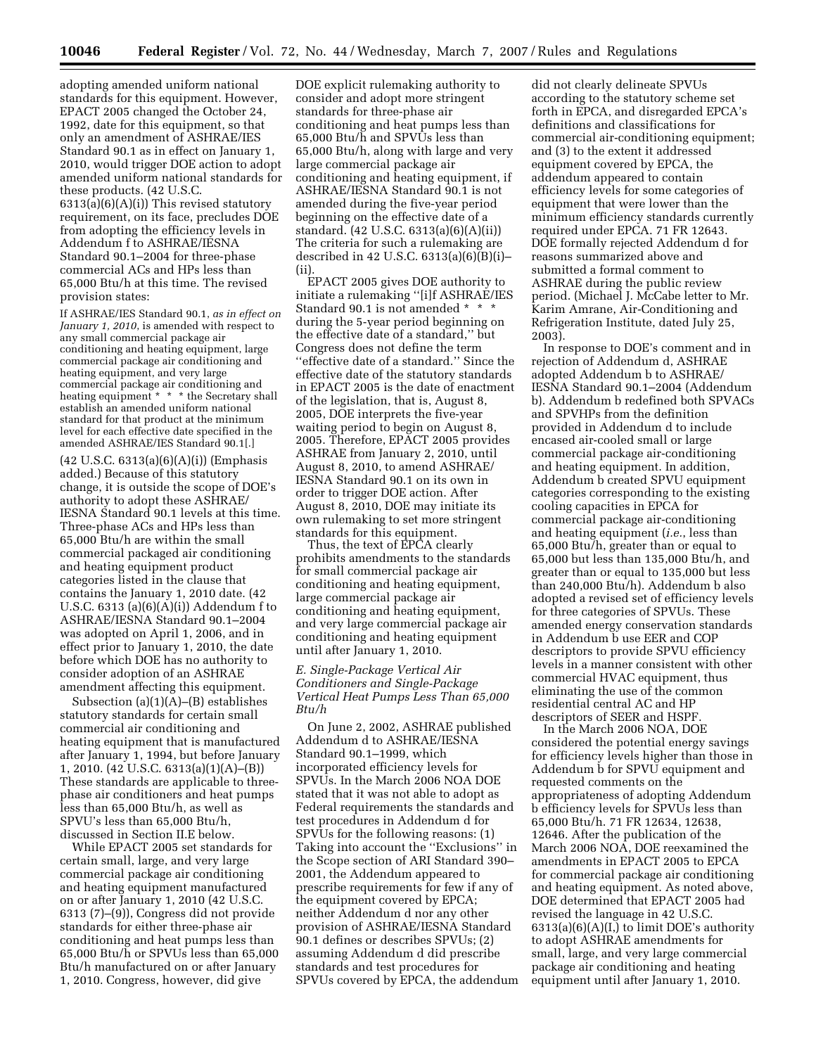adopting amended uniform national standards for this equipment. However, EPACT 2005 changed the October 24, 1992, date for this equipment, so that only an amendment of ASHRAE/IES Standard 90.1 as in effect on January 1, 2010, would trigger DOE action to adopt amended uniform national standards for these products. (42 U.S.C. 6313(a)(6)(A)(i)) This revised statutory requirement, on its face, precludes DOE from adopting the efficiency levels in Addendum f to ASHRAE/IESNA Standard 90.1–2004 for three-phase commercial ACs and HPs less than 65,000 Btu/h at this time. The revised provision states:

If ASHRAE/IES Standard 90.1, *as in effect on January 1, 2010*, is amended with respect to any small commercial package air conditioning and heating equipment, large commercial package air conditioning and heating equipment, and very large commercial package air conditioning and heating equipment \* \* \* the Secretary shall establish an amended uniform national standard for that product at the minimum level for each effective date specified in the amended ASHRAE/IES Standard 90.1[.]

(42 U.S.C. 6313(a)(6)(A)(i)) (Emphasis added.) Because of this statutory change, it is outside the scope of DOE's authority to adopt these ASHRAE/ IESNA Standard 90.1 levels at this time. Three-phase ACs and HPs less than 65,000 Btu/h are within the small commercial packaged air conditioning and heating equipment product categories listed in the clause that contains the January 1, 2010 date. (42 U.S.C. 6313 (a)(6)(A)(i)) Addendum f to ASHRAE/IESNA Standard 90.1–2004 was adopted on April 1, 2006, and in effect prior to January 1, 2010, the date before which DOE has no authority to consider adoption of an ASHRAE amendment affecting this equipment.

Subsection (a)(1)(A)–(B) establishes statutory standards for certain small commercial air conditioning and heating equipment that is manufactured after January 1, 1994, but before January 1, 2010. (42 U.S.C. 6313(a)(1)(A)–(B)) These standards are applicable to threephase air conditioners and heat pumps less than 65,000 Btu/h, as well as SPVU's less than 65,000 Btu/h, discussed in Section II.E below.

While EPACT 2005 set standards for certain small, large, and very large commercial package air conditioning and heating equipment manufactured on or after January 1, 2010 (42 U.S.C. 6313 (7)–(9)), Congress did not provide standards for either three-phase air conditioning and heat pumps less than 65,000 Btu/h or SPVUs less than 65,000 Btu/h manufactured on or after January 1, 2010. Congress, however, did give

DOE explicit rulemaking authority to consider and adopt more stringent standards for three-phase air conditioning and heat pumps less than 65,000 Btu/h and SPVUs less than 65,000 Btu/h, along with large and very large commercial package air conditioning and heating equipment, if ASHRAE/IESNA Standard 90.1 is not amended during the five-year period beginning on the effective date of a standard. (42 U.S.C. 6313(a)(6)(A)(ii)) The criteria for such a rulemaking are described in 42 U.S.C.  $6313(a)(6)(B)(i)$ – (ii).

EPACT 2005 gives DOE authority to initiate a rulemaking ''[i]f ASHRAE/IES Standard 90.1 is not amended \* \* \* during the 5-year period beginning on the effective date of a standard,'' but Congress does not define the term ''effective date of a standard.'' Since the effective date of the statutory standards in EPACT 2005 is the date of enactment of the legislation, that is, August 8, 2005, DOE interprets the five-year waiting period to begin on August 8, 2005. Therefore, EPACT 2005 provides ASHRAE from January 2, 2010, until August 8, 2010, to amend ASHRAE/ IESNA Standard 90.1 on its own in order to trigger DOE action. After August 8, 2010, DOE may initiate its own rulemaking to set more stringent standards for this equipment.

Thus, the text of EPCA clearly prohibits amendments to the standards for small commercial package air conditioning and heating equipment, large commercial package air conditioning and heating equipment, and very large commercial package air conditioning and heating equipment until after January 1, 2010.

#### *E. Single-Package Vertical Air Conditioners and Single-Package Vertical Heat Pumps Less Than 65,000 Btu/h*

On June 2, 2002, ASHRAE published Addendum d to ASHRAE/IESNA Standard 90.1–1999, which incorporated efficiency levels for SPVUs. In the March 2006 NOA DOE stated that it was not able to adopt as Federal requirements the standards and test procedures in Addendum d for SPVUs for the following reasons: (1) Taking into account the ''Exclusions'' in the Scope section of ARI Standard 390– 2001, the Addendum appeared to prescribe requirements for few if any of the equipment covered by EPCA; neither Addendum d nor any other provision of ASHRAE/IESNA Standard 90.1 defines or describes SPVUs; (2) assuming Addendum d did prescribe standards and test procedures for SPVUs covered by EPCA, the addendum

did not clearly delineate SPVUs according to the statutory scheme set forth in EPCA, and disregarded EPCA's definitions and classifications for commercial air-conditioning equipment; and (3) to the extent it addressed equipment covered by EPCA, the addendum appeared to contain efficiency levels for some categories of equipment that were lower than the minimum efficiency standards currently required under EPCA. 71 FR 12643. DOE formally rejected Addendum d for reasons summarized above and submitted a formal comment to ASHRAE during the public review period. (Michael J. McCabe letter to Mr. Karim Amrane, Air-Conditioning and Refrigeration Institute, dated July 25, 2003).

In response to DOE's comment and in rejection of Addendum d, ASHRAE adopted Addendum b to ASHRAE/ IESNA Standard 90.1–2004 (Addendum b). Addendum b redefined both SPVACs and SPVHPs from the definition provided in Addendum d to include encased air-cooled small or large commercial package air-conditioning and heating equipment. In addition, Addendum b created SPVU equipment categories corresponding to the existing cooling capacities in EPCA for commercial package air-conditioning and heating equipment (*i.e.*, less than 65,000 Btu/h, greater than or equal to 65,000 but less than 135,000 Btu/h, and greater than or equal to 135,000 but less than 240,000 Btu/h). Addendum b also adopted a revised set of efficiency levels for three categories of SPVUs. These amended energy conservation standards in Addendum b use EER and COP descriptors to provide SPVU efficiency levels in a manner consistent with other commercial HVAC equipment, thus eliminating the use of the common residential central AC and HP descriptors of SEER and HSPF.

In the March 2006 NOA, DOE considered the potential energy savings for efficiency levels higher than those in Addendum b for SPVU equipment and requested comments on the appropriateness of adopting Addendum b efficiency levels for SPVUs less than 65,000 Btu/h. 71 FR 12634, 12638, 12646. After the publication of the March 2006 NOA, DOE reexamined the amendments in EPACT 2005 to EPCA for commercial package air conditioning and heating equipment. As noted above, DOE determined that EPACT 2005 had revised the language in 42 U.S.C.  $6313(a)(6)(A)(I)$  to limit DOE's authority to adopt ASHRAE amendments for small, large, and very large commercial package air conditioning and heating equipment until after January 1, 2010.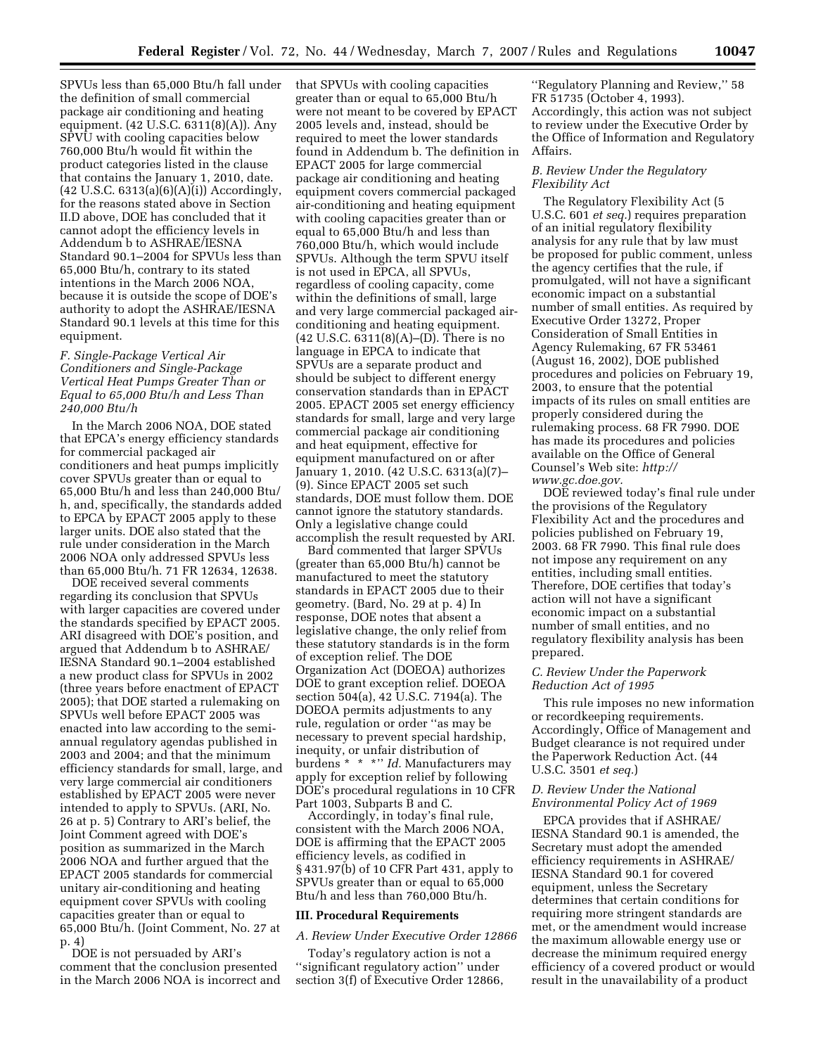SPVUs less than 65,000 Btu/h fall under the definition of small commercial package air conditioning and heating equipment. (42 U.S.C. 6311(8)(A)). Any SPVU with cooling capacities below 760,000 Btu/h would fit within the product categories listed in the clause that contains the January 1, 2010, date. (42 U.S.C. 6313(a)(6)(A)(i)) Accordingly, for the reasons stated above in Section II.D above, DOE has concluded that it cannot adopt the efficiency levels in Addendum b to ASHRAE/IESNA Standard 90.1–2004 for SPVUs less than 65,000 Btu/h, contrary to its stated intentions in the March 2006 NOA, because it is outside the scope of DOE's authority to adopt the ASHRAE/IESNA Standard 90.1 levels at this time for this equipment.

### *F. Single-Package Vertical Air Conditioners and Single-Package Vertical Heat Pumps Greater Than or Equal to 65,000 Btu/h and Less Than 240,000 Btu/h*

In the March 2006 NOA, DOE stated that EPCA's energy efficiency standards for commercial packaged air conditioners and heat pumps implicitly cover SPVUs greater than or equal to 65,000 Btu/h and less than 240,000 Btu/ h, and, specifically, the standards added to EPCA by EPACT 2005 apply to these larger units. DOE also stated that the rule under consideration in the March 2006 NOA only addressed SPVUs less than 65,000 Btu/h. 71 FR 12634, 12638.

DOE received several comments regarding its conclusion that SPVUs with larger capacities are covered under the standards specified by EPACT 2005. ARI disagreed with DOE's position, and argued that Addendum b to ASHRAE/ IESNA Standard 90.1–2004 established a new product class for SPVUs in 2002 (three years before enactment of EPACT 2005); that DOE started a rulemaking on SPVUs well before EPACT 2005 was enacted into law according to the semiannual regulatory agendas published in 2003 and 2004; and that the minimum efficiency standards for small, large, and very large commercial air conditioners established by EPACT 2005 were never intended to apply to SPVUs. (ARI, No. 26 at p. 5) Contrary to ARI's belief, the Joint Comment agreed with DOE's position as summarized in the March 2006 NOA and further argued that the EPACT 2005 standards for commercial unitary air-conditioning and heating equipment cover SPVUs with cooling capacities greater than or equal to 65,000 Btu/h. (Joint Comment, No. 27 at p. 4)

DOE is not persuaded by ARI's comment that the conclusion presented in the March 2006 NOA is incorrect and that SPVUs with cooling capacities greater than or equal to 65,000 Btu/h were not meant to be covered by EPACT 2005 levels and, instead, should be required to meet the lower standards found in Addendum b. The definition in EPACT 2005 for large commercial package air conditioning and heating equipment covers commercial packaged air-conditioning and heating equipment with cooling capacities greater than or equal to 65,000 Btu/h and less than 760,000 Btu/h, which would include SPVUs. Although the term SPVU itself is not used in EPCA, all SPVUs, regardless of cooling capacity, come within the definitions of small, large and very large commercial packaged airconditioning and heating equipment. (42 U.S.C. 6311(8)(A)–(D). There is no language in EPCA to indicate that SPVUs are a separate product and should be subject to different energy conservation standards than in EPACT 2005. EPACT 2005 set energy efficiency standards for small, large and very large commercial package air conditioning and heat equipment, effective for equipment manufactured on or after January 1, 2010. (42 U.S.C. 6313(a)(7)– (9). Since EPACT 2005 set such standards, DOE must follow them. DOE cannot ignore the statutory standards. Only a legislative change could accomplish the result requested by ARI.

Bard commented that larger SPVUs (greater than 65,000 Btu/h) cannot be manufactured to meet the statutory standards in EPACT 2005 due to their geometry. (Bard, No. 29 at p. 4) In response, DOE notes that absent a legislative change, the only relief from these statutory standards is in the form of exception relief. The DOE Organization Act (DOEOA) authorizes DOE to grant exception relief. DOEOA section 504(a), 42 U.S.C. 7194(a). The DOEOA permits adjustments to any rule, regulation or order ''as may be necessary to prevent special hardship, inequity, or unfair distribution of burdens \* \* \*'' *Id.* Manufacturers may apply for exception relief by following DOE's procedural regulations in 10 CFR Part 1003, Subparts B and C.

Accordingly, in today's final rule, consistent with the March 2006 NOA, DOE is affirming that the EPACT 2005 efficiency levels, as codified in § 431.97(b) of 10 CFR Part 431, apply to SPVUs greater than or equal to 65,000 Btu/h and less than 760,000 Btu/h.

#### **III. Procedural Requirements**

### *A. Review Under Executive Order 12866*

Today's regulatory action is not a ''significant regulatory action'' under section 3(f) of Executive Order 12866,

''Regulatory Planning and Review,'' 58 FR 51735 (October 4, 1993). Accordingly, this action was not subject to review under the Executive Order by the Office of Information and Regulatory Affairs.

#### *B. Review Under the Regulatory Flexibility Act*

The Regulatory Flexibility Act (5 U.S.C. 601 *et seq.*) requires preparation of an initial regulatory flexibility analysis for any rule that by law must be proposed for public comment, unless the agency certifies that the rule, if promulgated, will not have a significant economic impact on a substantial number of small entities. As required by Executive Order 13272, Proper Consideration of Small Entities in Agency Rulemaking, 67 FR 53461 (August 16, 2002), DOE published procedures and policies on February 19, 2003, to ensure that the potential impacts of its rules on small entities are properly considered during the rulemaking process. 68 FR 7990. DOE has made its procedures and policies available on the Office of General Counsel's Web site: *http:// www.gc.doe.gov.* 

DOE reviewed today's final rule under the provisions of the Regulatory Flexibility Act and the procedures and policies published on February 19, 2003. 68 FR 7990. This final rule does not impose any requirement on any entities, including small entities. Therefore, DOE certifies that today's action will not have a significant economic impact on a substantial number of small entities, and no regulatory flexibility analysis has been prepared.

### *C. Review Under the Paperwork Reduction Act of 1995*

This rule imposes no new information or recordkeeping requirements. Accordingly, Office of Management and Budget clearance is not required under the Paperwork Reduction Act. (44 U.S.C. 3501 *et seq.*)

## *D. Review Under the National Environmental Policy Act of 1969*

EPCA provides that if ASHRAE/ IESNA Standard 90.1 is amended, the Secretary must adopt the amended efficiency requirements in ASHRAE/ IESNA Standard 90.1 for covered equipment, unless the Secretary determines that certain conditions for requiring more stringent standards are met, or the amendment would increase the maximum allowable energy use or decrease the minimum required energy efficiency of a covered product or would result in the unavailability of a product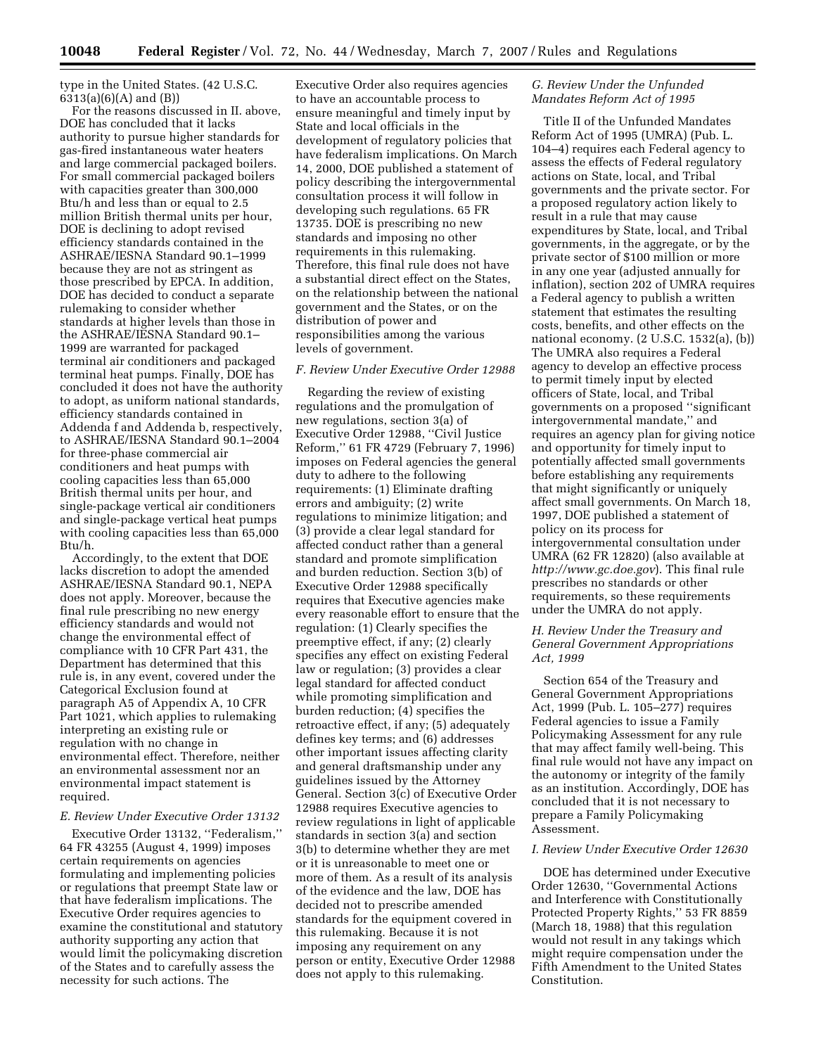type in the United States. (42 U.S.C. 6313(a)(6)(A) and (B))

For the reasons discussed in II. above, DOE has concluded that it lacks authority to pursue higher standards for gas-fired instantaneous water heaters and large commercial packaged boilers. For small commercial packaged boilers with capacities greater than 300,000 Btu/h and less than or equal to 2.5 million British thermal units per hour, DOE is declining to adopt revised efficiency standards contained in the ASHRAE/IESNA Standard 90.1–1999 because they are not as stringent as those prescribed by EPCA. In addition, DOE has decided to conduct a separate rulemaking to consider whether standards at higher levels than those in the ASHRAE/IESNA Standard 90.1– 1999 are warranted for packaged terminal air conditioners and packaged terminal heat pumps. Finally, DOE has concluded it does not have the authority to adopt, as uniform national standards, efficiency standards contained in Addenda f and Addenda b, respectively, to ASHRAE/IESNA Standard 90.1–2004 for three-phase commercial air conditioners and heat pumps with cooling capacities less than 65,000 British thermal units per hour, and single-package vertical air conditioners and single-package vertical heat pumps with cooling capacities less than 65,000 Btu/h.

Accordingly, to the extent that DOE lacks discretion to adopt the amended ASHRAE/IESNA Standard 90.1, NEPA does not apply. Moreover, because the final rule prescribing no new energy efficiency standards and would not change the environmental effect of compliance with 10 CFR Part 431, the Department has determined that this rule is, in any event, covered under the Categorical Exclusion found at paragraph A5 of Appendix A, 10 CFR Part 1021, which applies to rulemaking interpreting an existing rule or regulation with no change in environmental effect. Therefore, neither an environmental assessment nor an environmental impact statement is required.

#### *E. Review Under Executive Order 13132*

Executive Order 13132, ''Federalism,'' 64 FR 43255 (August 4, 1999) imposes certain requirements on agencies formulating and implementing policies or regulations that preempt State law or that have federalism implications. The Executive Order requires agencies to examine the constitutional and statutory authority supporting any action that would limit the policymaking discretion of the States and to carefully assess the necessity for such actions. The

Executive Order also requires agencies to have an accountable process to ensure meaningful and timely input by State and local officials in the development of regulatory policies that have federalism implications. On March 14, 2000, DOE published a statement of policy describing the intergovernmental consultation process it will follow in developing such regulations. 65 FR 13735. DOE is prescribing no new standards and imposing no other requirements in this rulemaking. Therefore, this final rule does not have a substantial direct effect on the States, on the relationship between the national government and the States, or on the distribution of power and responsibilities among the various levels of government.

#### *F. Review Under Executive Order 12988*

Regarding the review of existing regulations and the promulgation of new regulations, section 3(a) of Executive Order 12988, ''Civil Justice Reform,'' 61 FR 4729 (February 7, 1996) imposes on Federal agencies the general duty to adhere to the following requirements: (1) Eliminate drafting errors and ambiguity; (2) write regulations to minimize litigation; and (3) provide a clear legal standard for affected conduct rather than a general standard and promote simplification and burden reduction. Section 3(b) of Executive Order 12988 specifically requires that Executive agencies make every reasonable effort to ensure that the regulation: (1) Clearly specifies the preemptive effect, if any; (2) clearly specifies any effect on existing Federal law or regulation; (3) provides a clear legal standard for affected conduct while promoting simplification and burden reduction; (4) specifies the retroactive effect, if any; (5) adequately defines key terms; and (6) addresses other important issues affecting clarity and general draftsmanship under any guidelines issued by the Attorney General. Section 3(c) of Executive Order 12988 requires Executive agencies to review regulations in light of applicable standards in section 3(a) and section 3(b) to determine whether they are met or it is unreasonable to meet one or more of them. As a result of its analysis of the evidence and the law, DOE has decided not to prescribe amended standards for the equipment covered in this rulemaking. Because it is not imposing any requirement on any person or entity, Executive Order 12988 does not apply to this rulemaking.

# *G. Review Under the Unfunded Mandates Reform Act of 1995*

Title II of the Unfunded Mandates Reform Act of 1995 (UMRA) (Pub. L. 104–4) requires each Federal agency to assess the effects of Federal regulatory actions on State, local, and Tribal governments and the private sector. For a proposed regulatory action likely to result in a rule that may cause expenditures by State, local, and Tribal governments, in the aggregate, or by the private sector of \$100 million or more in any one year (adjusted annually for inflation), section 202 of UMRA requires a Federal agency to publish a written statement that estimates the resulting costs, benefits, and other effects on the national economy. (2 U.S.C. 1532(a), (b)) The UMRA also requires a Federal agency to develop an effective process to permit timely input by elected officers of State, local, and Tribal governments on a proposed ''significant intergovernmental mandate,'' and requires an agency plan for giving notice and opportunity for timely input to potentially affected small governments before establishing any requirements that might significantly or uniquely affect small governments. On March 18, 1997, DOE published a statement of policy on its process for intergovernmental consultation under UMRA (62 FR 12820) (also available at *http://www.gc.doe.gov*). This final rule prescribes no standards or other requirements, so these requirements under the UMRA do not apply.

### *H. Review Under the Treasury and General Government Appropriations Act, 1999*

Section 654 of the Treasury and General Government Appropriations Act, 1999 (Pub. L. 105–277) requires Federal agencies to issue a Family Policymaking Assessment for any rule that may affect family well-being. This final rule would not have any impact on the autonomy or integrity of the family as an institution. Accordingly, DOE has concluded that it is not necessary to prepare a Family Policymaking Assessment.

#### *I. Review Under Executive Order 12630*

DOE has determined under Executive Order 12630, ''Governmental Actions and Interference with Constitutionally Protected Property Rights,'' 53 FR 8859 (March 18, 1988) that this regulation would not result in any takings which might require compensation under the Fifth Amendment to the United States Constitution.